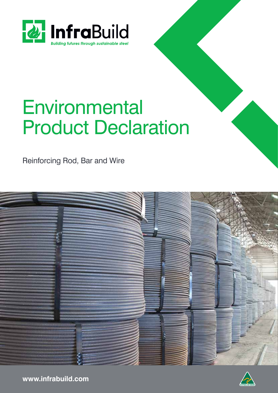

# **Environmental** Product Declaration

Reinforcing Rod, Bar and Wire





**www.infrabuild.com**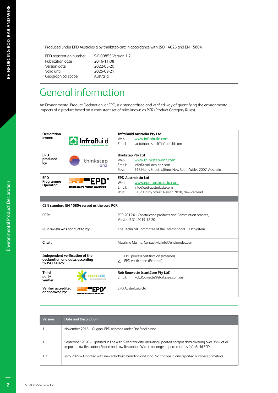Publication date 2016-11-08<br>Version date 2022-05-20 Version date<br>Valid until Geographical scope

EPD registration number S-P-00855 Version 1.2 2025-09-21<br>Australia

# General information

An Environmental Product Declaration, or EPD, is a standardised and verified way of quantifying the environmental impacts of a product based on a consistent set of rules known as PCR (Product Category Rules).

| <b>Declaration</b>                     |                                                                    | <b>InfraBuild Australia Pty Ltd</b>                                                      |  |  |  |  |
|----------------------------------------|--------------------------------------------------------------------|------------------------------------------------------------------------------------------|--|--|--|--|
| owner:                                 | <b>ıfra</b> Build                                                  | www.infrabuild.com<br>Web:                                                               |  |  |  |  |
|                                        |                                                                    | sustainablesteel@infrabuild.com<br>Email                                                 |  |  |  |  |
| <b>EPD</b>                             |                                                                    | thinkstep Pty Ltd                                                                        |  |  |  |  |
| produced<br>by:                        | thinkstep                                                          | Web:<br>www.thinkstep-anz.com                                                            |  |  |  |  |
|                                        | anz                                                                | Email:<br>info@thinkstep-anz.com                                                         |  |  |  |  |
|                                        |                                                                    | 616 Harris Street, Ultimo, New South Wales 2007, Australia<br>Post:                      |  |  |  |  |
| <b>EPD</b>                             |                                                                    | <b>EPD Australasia Ltd</b>                                                               |  |  |  |  |
| Programme                              |                                                                    | www.epd-australasia.com<br>Web:                                                          |  |  |  |  |
| Operator:                              | ENVIRONMENTAL PRODUCT DECLARATION                                  | info@epd-australasia.com<br>Email:                                                       |  |  |  |  |
|                                        |                                                                    | 315a Hardy Street, Nelson 7010, New Zealand<br>Post:                                     |  |  |  |  |
|                                        |                                                                    |                                                                                          |  |  |  |  |
|                                        | CEN standard EN 15804 served as the core PCR:                      |                                                                                          |  |  |  |  |
| PCR:                                   |                                                                    | PCR 2012:01 Construction products and Construction services,<br>Version 2.31, 2019-12-20 |  |  |  |  |
|                                        | PCR review was conducted by:                                       | The Technical Committee of the International EPD® System                                 |  |  |  |  |
| Chair:                                 |                                                                    | Massimo Marino. Contact via info@environdec.com                                          |  |  |  |  |
| to ISO 14025:                          | Independent verification of the<br>declaration and data, according | EPD process certification (Internal)<br>EPD verification (External)<br>⊽                 |  |  |  |  |
| <b>Third</b><br>party<br>verifier:     |                                                                    | Rob Rouwette (start2see Pty Ltd)<br>Rob.Rouwette@start2see.com.au<br>Email:              |  |  |  |  |
| Verifier accredited<br>or approved by: | ENVIRONMENTAL PRODUCT DECLARATION                                  | <b>EPD Australasia Ltd</b>                                                               |  |  |  |  |

| <b>Version</b> | <b>Date and Description</b>                                                                                                                                                                                            |
|----------------|------------------------------------------------------------------------------------------------------------------------------------------------------------------------------------------------------------------------|
|                | November 2016 – Original EPD released under OneSteel brand.                                                                                                                                                            |
| 1.1            | September 2020 – Updated in line with 5-year validity, including updated hotspot data covering over 95% of all<br>impacts. Low Relaxation Strand and Low Relaxation Wire is no longer reported in this InfraBuild EPD. |
| 1.2            | May 2022 – Updated with new InfraBuild branding and logo. No change in any reported numbers or metrics.                                                                                                                |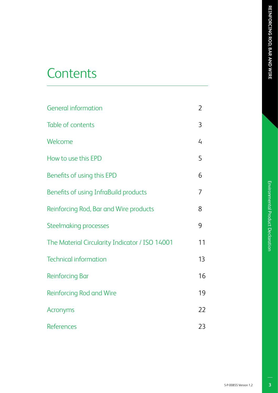# Environmental Product Declaration

# **Contents**

| <b>General information</b>                     | 2  |
|------------------------------------------------|----|
| Table of contents                              | 3  |
| Welcome                                        | 4  |
| How to use this EPD                            | 5  |
| Benefits of using this EPD                     | 6  |
| Benefits of using InfraBuild products          | 7  |
| Reinforcing Rod, Bar and Wire products         | 8  |
| <b>Steelmaking processes</b>                   | 9  |
| The Material Circularity Indicator / ISO 14001 | 11 |
| <b>Technical information</b>                   | 13 |
| <b>Reinforcing Bar</b>                         | 16 |
| Reinforcing Rod and Wire                       | 19 |
| Acronyms                                       | 22 |
| <b>References</b>                              | 23 |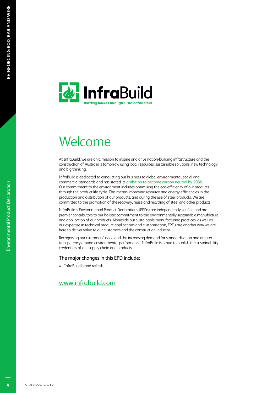

# Welcome

At InfraBuild, we are on a mission to inspire and drive nation-building infrastructure and the construction of Australia's tomorrow using local resources, sustainable solutions, new technology and big thinking.

InfraBuild is dedicated to conducting our business to global environmental, social and commercial standards and has stated its ambition to become carbon neutral by 2030. Our commitment to the environment includes optimising the eco-efficiency of our products through the product life cycle. This means improving resource and energy efficiencies in the production and distribution of our products, and during the use of steel products. We are committed to the promotion of the recovery, reuse and recycling of steel and other products.

InfraBuild's Environmental Product Declarations (EPDs) are independently verified and are premier contributors to our holistic commitment to the environmentally sustainable manufacture and application of our products. Alongside our sustainable manufacturing practices, as well as our expertise in technical product applications and customisation, EPDs are another way we are here to deliver value to our customers and the construction industry.

Recognising our customers' need and the increasing demand for standardisation and greater transparency around environmental performance, InfraBuild is proud to publish the sustainability credentials of our supply chain and products.

### The major changes in this EPD include:

• InfraBuild brand refresh.

### www.infrabuild.com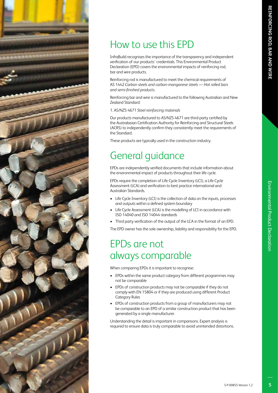

# How to use this EPD

InfraBuild recognises the importance of the transparency and independent verification of our products' credentials. This Environmental Product Declaration (EPD) covers the environmental impacts of reinforcing rod, bar and wire products.

Reinforcing rod is manufactured to meet the chemical requirements of AS 1442 *Carbon steels and carbon-manganese steels — Hot rolled bars and semi-finished products*.

Reinforcing bar and wire is manufactured to the following Australian and New Zealand Standard:

1. AS/NZS 4671 *Steel reinforcing materials*

Our products manufactured to AS/NZS 4671 are third-party certified by the Australasian Certification Authority for Reinforcing and Structural Steels (ACRS) to independently confirm they consistently meet the requirements of the Standard.

These products are typically used in the construction industry.

# General guidance

EPDs are independently verified documents that include information about the environmental impact of products throughout their life cycle.

EPDs require the completion of Life Cycle Inventory (LCI), a Life Cycle Assessment (LCA) and verification to best practice international and Australian Standards.

- Life Cycle Inventory (LCI) is the collection of data on the inputs, processes and outputs within a defined system boundary
- Life Cycle Assessment (LCA) is the modelling of LCI in accordance with ISO 14040 and ISO 14044 standards
- Third party verification of the output of the LCA in the format of an EPD.

The EPD owner has the sole ownership, liability and responsibility for the EPD.

# EPDs are not always comparable

When comparing EPDs it is important to recognise:

- EPDs within the same product category from different programmes may not be comparable
- EPDs of construction products may not be comparable if they do not comply with EN 15804 or if they are produced using different Product Category Rules
- EPDs of construction products from a group of manufacturers may not be comparable to an EPD of a similar construction product that has been generated by a single manufacturer.

Understanding the detail is important in comparisons. Expert analysis is required to ensure data is truly comparable to avoid unintended distortions.

 $\overline{5}$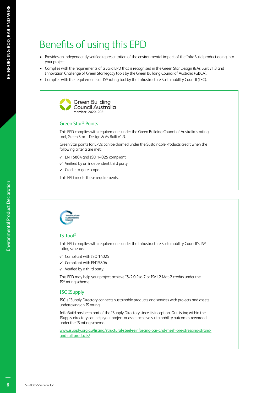# Benefits of using this EPD

- Provides an independently verified representation of the environmental impact of the InfraBuild product going into your project.
- Complies with the requirements of a valid EPD that is recognised in the Green Star Design & As Built v1.3 and Innovation Challenge of Green Star legacy tools by the Green Building Council of Australia (GBCA).
- Complies with the requirements of IS® rating tool by the Infrastructure Sustainability Council (ISC).



### Green Star® Points

This EPD complies with requirements under the Green Building Council of Australia's rating tool, Green Star – Design & As Built v1.3.

Green Star points for EPDs can be claimed under the Sustainable Products credit when the following criteria are met:

- $\checkmark$  EN 15804 and ISO 14025 compliant
- $\checkmark$  Verified by an independent third party
- $\checkmark$  Cradle-to-gate scope.

This EPD meets these requirements.



### IS Tool®

This EPD complies with requirements under the Infrastructure Sustainability Council's IS® rating scheme:

- $\checkmark$  Compliant with ISO 14025
- $\checkmark$  Compliant with EN15804
- $\checkmark$  Verified by a third party.

This EPD may help your project achieve ISv2.0 Rso-7 or ISv1.2 Mat-2 credits under the IS® rating scheme.

### ISC ISupply

ISC's ISupply Directory connects sustainable products and services with projects and assets undertaking an IS rating.

InfraBuild has been part of the ISupply Directory since its inception. Our listing within the ISupply directory can help your project or asset achieve sustainability outcomes rewarded under the IS rating scheme.

www.isupply.org.au/listing/structural-steel-reinforcing-bar-and-mesh-pre-stressing-strandand-rail-products/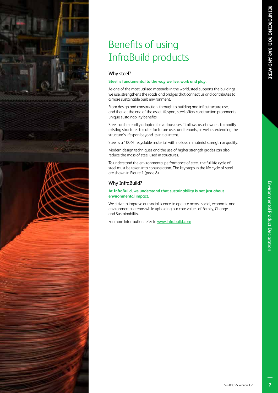# Benefits of using InfraBuild products

### Why steel?

### **Steel is fundamental to the way we live, work and play.**

As one of the most utilised materials in the world, steel supports the buildings we use, strengthens the roads and bridges that connect us and contributes to a more sustainable built environment.

From design and construction, through to building and infrastructure use, and then at the end of the asset lifespan, steel offers construction proponents unique sustainability benefits.

Steel can be readily adapted for various uses. It allows asset owners to modify existing structures to cater for future uses and tenants, as well as extending the structure's lifespan beyond its initial intent.

Steel is a 100% recyclable material, with no loss in material strength or quality.

Modern design techniques and the use of higher strength grades can also reduce the mass of steel used in structures.

To understand the environmental performance of steel, the full life cycle of steel must be taken into consideration. The key steps in the life cycle of steel are shown in Figure 1 (page 8).

### Why InfraBuild?

### **At InfraBuild, we understand that sustainability is not just about environmental impact.**

We strive to improve our social licence to operate across social, economic and environmental arenas while upholding our core values of Family, Change and Sustainability.

For more information refer to www.infrabuild.com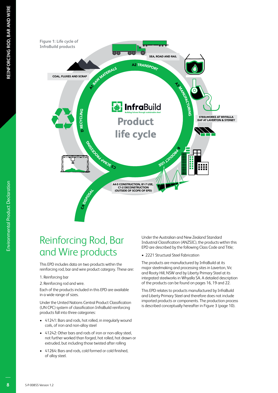

# Reinforcing Rod, Bar and Wire products

This EPD includes data on two products within the reinforcing rod, bar and wire product category. These are:

### 1. Reinforcing bar

2. Reinforcing rod and wire.

Each of the products included in this EPD are available in a wide range of sizes.

Under the United Nations Central Product Classification (UN CPC) system of classification InfraBuild reinforcing products fall into three categories:

- 41241: Bars and rods, hot rolled, in irregularly wound coils, of iron and non-alloy steel
- 41242: Other bars and rods of iron or non-alloy steel, not further worked than forged, hot rolled, hot drawn or extruded, but including those twisted after rolling
- 41264: Bars and rods, cold formed or cold finished, of alloy steel.

Under the Australian and New Zealand Standard Industrial Classification (ANZSIC), the products within this EPD are described by the following Class Code and Title;

• 2221 Structural Steel Fabrication

The products are manufactured by InfraBuild at its major steelmaking and processing sites in Laverton, Vic and Rooty Hill, NSW and by Liberty Primary Steel at its integrated steelworks in Whyalla SA. A detailed description of the products can be found on pages 16, 19 and 22.

This EPD relates to products manufactured by InfraBuild and Liberty Primary Steel and therefore does not include imported products or components. The production process is described conceptually hereafter in Figure 3 (page 10).

Environmental Product Declaration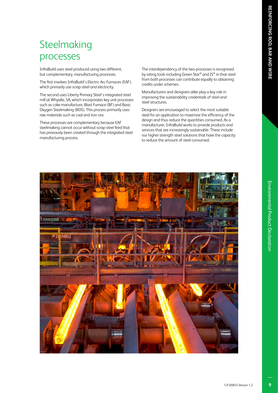# **Steelmaking** processes

InfraBuild uses steel produced using two different, but complementary, manufacturing processes.

The first involves InfraBuild's Electric Arc Furnaces (EAF), which primarily use scrap steel and electricity.

The second uses Liberty Primary Steel's integrated steel mill at Whyalla, SA, which incorporates key unit processes such as coke manufacture, Blast Furnace (BF) and Basic Oxygen Steelmaking (BOS). This process primarily uses raw materials such as coal and iron ore.

These processes are complementary because EAF steelmaking cannot occur without scrap steel feed that has previously been created through the integrated steel manufacturing process.

The interdependency of the two processes is recognised by rating tools including Green Star® and IS® in that steel from both processes can contribute equally to obtaining credits under schemes.

Manufacturers and designers alike play a key role in improving the sustainability credentials of steel and steel structures.

Designers are encouraged to select the most suitable steel for an application to maximise the efficiency of the design and thus reduce the quantities consumed. As a manufacturer, InfraBuild works to provide products and services that are increasingly sustainable. These include our higher strength steel solutions that have the capacity to reduce the amount of steel consumed.



Environmental Product Declaration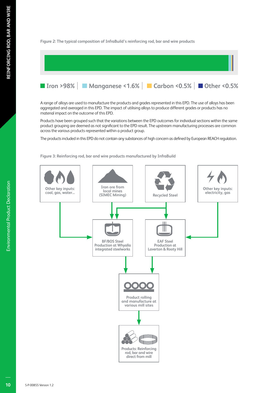### **Figure 2: The typical composition of InfraBuild's reinforcing rod, bar and wire products**



A range of alloys are used to manufacture the products and grades represented in this EPD. The use of alloys has been aggregated and averaged in this EPD. The impact of utilising alloys to produce different grades or products has no material impact on the outcome of this EPD.

Products have been grouped such that the variations between the EPD outcomes for individual sections within the same product grouping are deemed as not significant to the EPD result. The upstream manufacturing processes are common across the various products represented within a product group.

The products included in this EPD do not contain any substances of high concern as defined by European REACH regulation.

**Figure 3: Reinforcing rod, bar and wire products manufactured by InfraBuild**

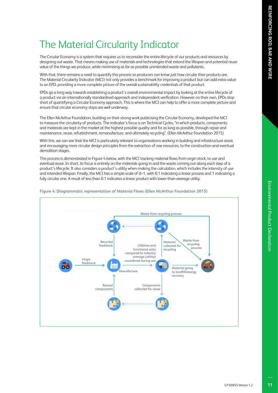Environmental Product Declaratior

# The Material Circularity Indicator

The Circular Economy is a system that requires us to reconsider the entire lifecycle of our products and resources by designing out waste. That means making use of materials and technologies that extend the lifespan and potential reuse value of the things we produce, while minimising as far as possible unintended waste and pollutants.

With that, there remains a need to quantify this process so producers can know just how circular their products are. The Material Circularity Indicator (MCI) not only provides a benchmark for improving a product but can add extra value to an EPD, providing a more complete picture of the overall sustainability credentials of that product.

EPDs go a long way towards establishing a product's overall environmental impact by looking at the entire lifecycle of a product via an internationally standardised approach and independent verification. However on their own, EPDs stop short of quantifying a Circular Economy approach. This is where the MCI can help to offer a more complete picture and ensure that circular economy steps are well underway.

The Ellen McArthur Foundation, building on their strong work publicising the Circular Economy, developed the MCI to measure the circularity of products. The indicator's focus is on Technical Cycles, "in which products, components and materials are kept in the market at the highest possible quality and for as long as possible, through repair and maintenance, reuse, refurbishment, remanufacture, and ultimately recycling". (Ellen McArthur Foundation 2015)

With this, we can see that the MCI is particularly relevant to organisations working in building and infrastructure areas and encouraging more circular design principles from the extraction of raw resources, to the construction and eventual demolition stages.

This process is demonstrated in Figure 4 below, with the MCI tracking material flows from virgin stock, to use and eventual reuse. In short, its focus is entirely on the materials going in and the waste coming out along each step of a product's lifecycle. It also considers a product's utility when making the calculation, which includes the intensity of use and intended lifespan. Finally, the MCI has a simple scale of 0-1, with 0.1 indicating a linear process and 1 indicating a fully circular one. A result of less than 0.1 indicates a linear product with lower-than-average utility.



**Figure 4: Diagrammatic representation of Material Flows (Ellen McArthur Foundation 2015)**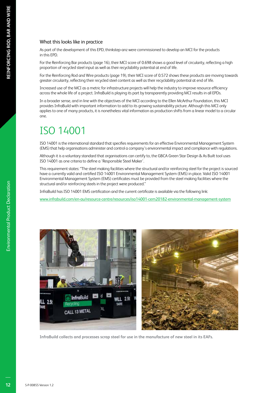### What this looks like in practice

As part of the development of this EPD, thinkstep-anz were commissioned to develop an MCI for the products in this EPD.

For the Reinforcing Bar products (page 16), their MCI score of 0.698 shows a good level of circularity, reflecting a high proportion of recycled steel input as well as their recyclability potential at end of life.

For the Reinforcing Rod and Wire products (page 19), their MCI score of 0.572 shows these products are moving towards greater circularity, reflecting their recycled steel content as well as their recyclability potential at end of life.

Increased use of the MCI as a metric for infrastructure projects will help the industry to improve resource efficiency across the whole life of a project. InfraBuild is playing its part by transparently providing MCI results in all EPDs.

In a broader sense, and in line with the objectives of the MCI according to the Ellen McArthur Foundation, this MCI provides InfraBuild with important information to add to its growing sustainability picture. Although this MCI only applies to one of many products, it is nonetheless vital information as production shifts from a linear model to a circular one.

# ISO 14001

ISO 14001 is the international standard that specifies requirements for an effective Environmental Management System (EMS) that help organisations administer and control a company's environmental impact and compliance with regulations.

Although it is a voluntary standard that organisations can certify to, the GBCA Green Star Design & As Built tool uses ISO 14001 as one criteria to define a 'Responsible Steel Maker'.

This requirement states: "The steel making facilities where the structural and/or reinforcing steel for the project is sourced have a currently valid and certified ISO 14001 Environmental Management System (EMS) in place. Valid ISO 14001 Environmental Management System (EMS) certificates must be provided from the steel making facilities where the structural and/or reinforcing steels in the project were produced."

InfraBuild has ISO 14001 EMS certification and the current certificate is available via the following link:

www.infrabuild.com/en-au/resource-centre/resources/iso14001-cem20182-environmental-management-system



**InfraBuild collects and processes scrap steel for use in the manufacture of new steel in its EAFs.**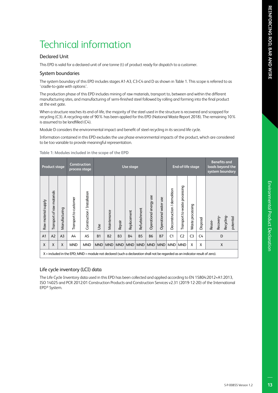# Technical information

### Declared Unit

This EPD is valid for a declared unit of one tonne (t) of product ready for dispatch to a customer.

### System boundaries

The system boundary of this EPD includes stages A1-A3, C3-C4 and D as shown in Table 1. This scope is referred to as 'cradle-to-gate with options'.

The production phase of this EPD includes mining of raw materials, transport to, between and within the different manufacturing sites, and manufacturing of semi-finished steel followed by rolling and forming into the final product at the exit gate.

When a structure reaches its end-of-life, the majority of the steel used in the structure is recovered and scrapped for recycling (C3). A recycling rate of 90% has been applied for this EPD (National Waste Report 2018). The remaining 10% is assumed to be landfilled (C4).

Module D considers the environmental impact and benefit of steel recycling in its second life cycle.

Information contained in this EPD excludes the use phase environmental impacts of the product, which are considered to be too variable to provide meaningful representation.

|                     | <b>Product stage</b>       |                |                                                                                                                               | Construction<br>process stage |            | Use stage   |                |             |               | End-of-life stage      |                       |                             | <b>Benefits and</b><br>loads beyond the<br>system boundary |                  |          |                                              |
|---------------------|----------------------------|----------------|-------------------------------------------------------------------------------------------------------------------------------|-------------------------------|------------|-------------|----------------|-------------|---------------|------------------------|-----------------------|-----------------------------|------------------------------------------------------------|------------------|----------|----------------------------------------------|
| Raw material supply | Transport of raw materials | Manufacturing  | Transport to customer                                                                                                         | Construction / Installation   | <b>Jse</b> | Maintenance | Repair         | Replacement | Refurbishment | Operational energy use | Operational water use | Deconstruction / demolition | Transport to waste processing                              | Waste processing | Disposal | Recyding-<br>potential<br>Recovery<br>Reuse- |
| A <sub>1</sub>      | A2                         | A <sub>3</sub> | A4                                                                                                                            | A <sub>5</sub>                | <b>B1</b>  | <b>B2</b>   | B <sub>3</sub> | <b>B4</b>   | <b>B5</b>     | <b>B6</b>              | <b>B7</b>             | C1                          | C <sub>2</sub>                                             | C <sub>3</sub>   | C4       | D                                            |
| X                   | X                          | $\mathsf{X}$   | <b>MND</b>                                                                                                                    | <b>MND</b>                    | <b>MND</b> | <b>MND</b>  | <b>MND</b>     | <b>MND</b>  | <b>MND</b>    | <b>MND</b>             | <b>MND</b>            | <b>MND</b>                  | <b>MND</b>                                                 | X                | X        | X                                            |
|                     |                            |                | X = included in the EPD; MND = module not declared (such a declaration shall not be regarded as an indicator result of zero). |                               |            |             |                |             |               |                        |                       |                             |                                                            |                  |          |                                              |

**Table 1: Modules included in the scope of the EPD**

### Life cycle inventory (LCI) data

The Life Cycle Inventory data used in this EPD has been collected and applied according to EN 15804:2012+A1:2013, ISO 14025 and PCR 2012:01 Construction Products and Construction Services v2.31 (2019-12-20) of the International EPD® System.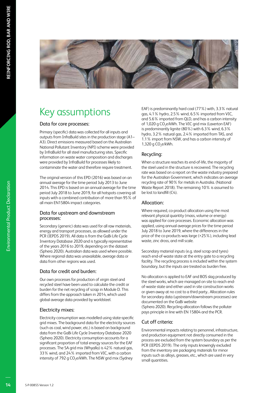

# Key assumptions

### Data for core processes:

Primary (specific) data was collected for all inputs and outputs from InfraBuild sites in the production stage (A1– A3). Direct emissions measured based on the Australian National Pollutant Inventory (NPI) scheme were provided by InfraBuild for all steel manufacturing sites. Specific information on waste water composition and discharges were provided by InfraBuild for processes likely to contaminate the water and therefore require treatment.

The original version of this EPD (2016) was based on an annual average for the time period July 2013 to June 2014. This EPD is based on an annual average for the time period July 2018 to June 2019, for all hotspots covering all inputs with a combined contribution of more than 95% of all main EN15804 impact categories.

### Data for upstream and downstream processes:

Secondary (generic) data was used for all raw materials, energy and transport processes, as allowed under the PCR (IEPDS 2019). All data is from the GaBi Life Cycle Inventory Database 2020 and is typically representative of the years 2016 to 2019, depending on the dataset (Sphera 2020). Australian data was used where possible. Where regional data was unavailable, average data or data from other regions was used.

### Data for credit and burden:

Our own processes for production of virgin steel and recycled steel have been used to calculate the credit or burden for the net recycling of scrap in Module D. This differs from the approach taken in 2014, which used global average data provided by worldsteel.

### Electricity mixes:

Electricity consumption was modelled using state-specific grid mixes. The background data for the electricity sources (such as coal, wind power, etc.) is based on background data from the GaBi Life Cycle Inventory Database 2020 (Sphera 2020). Electricity consumption accounts for a significant proportion of total energy sources for the EAF processes. The SA grid mix (Whyalla) is 42% natural gas, 33% wind, and 24% imported from VIC, with a carbon intensity of 792 g CO<sub>2</sub>e/kWh. The NSW grid mix (Sydney

EAF) is predominantly hard coal (77%) with, 3.3% natural gas, 4.1% hydro, 2.5% wind, 6.5% imported from VIC, and 5.6% imported from QLD, and has a carbon intensity of 1,020 g CO<sub>2</sub>e/kWh. The VIC grid mix (Laverton EAF) is predominantly lignite (80%) with 6.3% wind, 6.3% hydro, 3.2% natural gas, 2.4% imported from TAS, and 1.1% import from NSW, and has a carbon intensity of 1,320 g  $CO<sub>2</sub>e/kWh$ .

### Recycling:

When a structure reaches its end-of-life, the majority of the steel used in the structure is recovered. The recycling rate was based on a report on the waste industry prepared for the Australian Government, which indicates an average recycling rate of 90% for metals in Australia. (National Waste Report 2018). The remaining 10% is assumed to be lost to landfill (C4).

### Allocation:

Where required, co-product allocation using the most relevant physical quantity (mass, volume or energy) was applied for core processes. Economic allocation was applied, using annual average prices for the time period July 2018 to June 2019, where the differences in the price of the co-products was large (>25%), including lead waste, zinc dross, and mill scale.

Secondary material inputs (e.g. steel scrap and tyres) reach end-of-waste state at the entry gate to a recycling facility. The recycling process is included within the system boundary, but the inputs are treated as burden free.

No allocation is applied to EAF and BOS slag produced by the steel works, which are managed on site to reach endof-waste state and either used in site construction works or given away at no cost to a third party.. Allocation rules for secondary data (upstream/downstream processes) are documented on the GaBi website

(Sphera 2020). Recycling allocation follows the polluter pays principle in line with EN 15804 and the PCR.

### Cut off criteria:

Environmental impacts relating to personnel, infrastructure, and production equipment not directly consumed in the process are excluded from the system boundary as per the PCR (IEPDS 2019). The only inputs knowingly excluded from the inventory are packaging materials for minor inputs such as alloys, greases, etc., which are used in very small quantities.

Environmental Product Declaration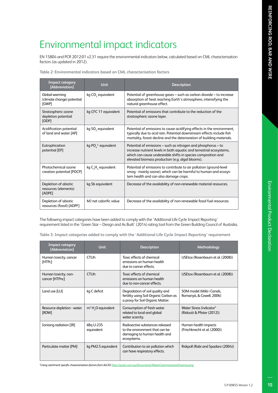# Environmental impact indicators

EN 15804 and PCR 2012:01 v2.31 require the environmental indicators below, calculated based on CML characterisation factors (as updated in 2012).

| <b>Impact category</b><br>[Abbreviation]               | <b>Unit</b>                                 | <b>Description</b>                                                                                                                                                                                                                                         |
|--------------------------------------------------------|---------------------------------------------|------------------------------------------------------------------------------------------------------------------------------------------------------------------------------------------------------------------------------------------------------------|
| Global warming<br>(climate change) potential<br>[GWP]  | kg CO <sub>2</sub> equivalent               | Potential of greenhouse gases – such as carbon dioxide – to increase<br>absorption of heat reaching Earth's atmosphere, intensifying the<br>natural greenhouse effect.                                                                                     |
| Stratospheric ozone<br>depletion potential<br>[ODP]    | kg CFC 11 equivalent                        | Potential of emissions that contribute to the reduction of the<br>stratospheric ozone layer.                                                                                                                                                               |
| Acidification potential<br>of land and water [AP]      | kg SO <sub>2</sub> equivalent               | Potential of emissions to cause acidifying effects in the environment,<br>typically due to acid rain. Potential downstream effects include fish<br>mortality, forest decline and the deterioration of building materials.                                  |
| Eutrophication<br>potential [EP]                       | kg $POL3$ equivalent                        | Potential of emissions – such as nitrogen and phosphorus – to<br>increase nutrient levels in both aquatic and terrestrial ecosystems,<br>which can cause undesirable shifts in species composition and<br>elevated biomass production (e.g. algal blooms). |
| Photochemical ozone<br>creation potential [POCP]       | kg C <sub>2</sub> H <sub>, equivalent</sub> | Potential of emissions to contribute to air pollution (ground-level<br>smog - mainly ozone), which can be harmful to human and ecosys-<br>tem health and can also damage crops.                                                                            |
| Depletion of abiotic<br>resources (elements)<br>[ADPE] | kg Sb equivalent                            | Decrease of the availability of non-renewable material resources.                                                                                                                                                                                          |
| Depletion of abiotic<br>resources (fossil) [ADPF]      | MJ net calorific value                      | Decrease of the availability of non-renewable fossil fuel resources.                                                                                                                                                                                       |

**Table 2: Environmental indicators based on CML characterisation factors**

The following impact categories have been added to comply with the 'Additional Life Cycle Impact Reporting' requirement listed in the 'Green Star – Design and As Built' (2014) rating tool from the Green Building Council of Australia.

**Table 3: Impact categories added to comply with the 'Additional Life Cycle Impact Reporting' requirement**

| <b>Impact category</b><br>[Abbreviation] | <b>Unit</b>             | <b>Description</b>                                                                                               | Methodology                                           |
|------------------------------------------|-------------------------|------------------------------------------------------------------------------------------------------------------|-------------------------------------------------------|
| Human toxicity, cancer<br>[HTPc]         | <b>CTU<sub>h</sub></b>  | Toxic effects of chemical<br>emissions on human health<br>due to cancer effects.                                 | USEtox (Rosenbaum et al. (2008))                      |
| Human toxicity, non-<br>cancer [HTPnc]   | <b>CTU<sub>h</sub></b>  | Toxic effects of chemical<br>emissions on human health<br>due to non-cancer effects.                             | USEtox (Rosenbaum et al. (2008))                      |
| Land use [LU]                            | kg C deficit            | Degradation of soil quality and<br>fertility using Soil Organic Carbon as<br>a proxy for Soil Organic Matter.    | SOM model (Milà i Canals,<br>Romanyà, & Cowell, 2006) |
| Resource depletion - water<br>[RDW]      | $m3 H2O$ equivalent     | Consumption of fresh water<br>related to local and global<br>water scarcity.                                     | Water Stress Indicator*<br>(Ridoutt & Pfister (2012)) |
| Ionising radiation [IR]                  | kBq U-235<br>equivalent | Radioactive substances released<br>to the environment that can be<br>damaging to human health and<br>ecosystems. | Human health impacts<br>(Frischknecht et al. (2000))  |
| Particulate matter [PM]                  | kg PM2.5 equivalent     | Contribution to air pollution which<br>can have respiratory effects.                                             | Riskpoll (Rabi and Spadaro (2004))                    |

*\*Using catchment specific characterisation factors from ALCAS http://auslci.com.au/Documents/WaterCatchmentswithnames.png.*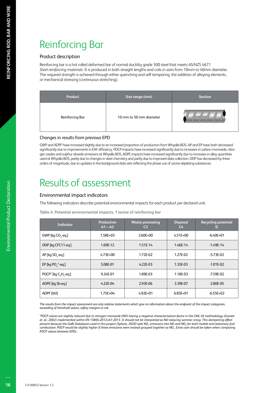# Reinforcing Bar

### Product description

Reinforcing bar is a hot rolled deformed bar of normal ductility grade 500 steel that meets AS/NZS 4671 *Steel reinforcing materials*. It is produced in both straight lengths and coils in sizes from 10mm to 40mm diameter. The required strength is achieved through either quenching and self-tempering, the addition of alloying elements, or mechanical stressing (continuous stretching).

| Product         | Size range (mm)         | <b>Section</b> |
|-----------------|-------------------------|----------------|
| Reinforcing Bar | 10 mm to 50 mm diameter |                |

### Changes in results from previous EPD

GWP and ADPF have increased slightly due to an increased proportion of production from Whyalla BOS. AP and EP have both decreased significantly due to improvements in EAF efficiency. POCP impacts have increased significantly due to increases in carbon monoxide, nitrogen oxides and sulphur dioxide emissions at Whyalla BOS. ADPE impacts have increased significantly due to increases in alloy quantities used at Whyalla BOS, partly due to changes in steel chemistry and partly due to improved data collection. ODP has decreased by three orders of magnitude, due to updates in the background data sets reflecting the phase out of ozone depleting substances.

## Results of assessment

### Environmental impact indicators

The following indicators describe potential environmental impacts for each product per declared unit.

**Table 4: Potential environmental impacts, 1 tonne of reinforcing bar**

| <b>Indicator</b>                              | Production<br>$A1 - A3$ | <b>Waste processing</b><br>C <sub>3</sub> | <b>Disposal</b><br>C <sub>4</sub> | <b>Recycling potential</b><br>D |
|-----------------------------------------------|-------------------------|-------------------------------------------|-----------------------------------|---------------------------------|
| GWP [kg CO <sub>2</sub> -eq.]                 | 1.58E+03                | $2.60E + 00$                              | $4.51E + 00$                      | $-6.40E + 01$                   |
| ODP [kg CFC11-eg.]                            | 1.69E-12                | 1.51E-14                                  | 1.46E-14                          | $-1.49E-14$                     |
| AP [kg SO <sub>2</sub> -eq.]                  | $4.73E + 00$            | 1.72E-02                                  | 1.27E-02                          | $-5.73E - 02$                   |
| EP [kg PO $^3$ -eq.]                          | 5.08E-01                | $4.22E-03$                                | 1.35E-03                          | $-1.01E - 02$                   |
| POCP* [kg C <sub>2</sub> H <sub>4</sub> -eq.] | 9.24E-01                | 1.89E-03                                  | 1.18E-03                          | -7.59E-02                       |
| ADPE [kg Sb-eg.]                              | 4.22E-04                | 2.93E-06                                  | 3.39E-07                          | $-2.80E - 0.5$                  |
| ADPF [MJ]                                     | 1.75E+04                | $4.92E + 01$                              | $6.85E + 01$                      | $-6.55E+02$                     |

*The results from the impact assessment are only relative statements which give no information about the endpoint of the impact categories, exceeding of threshold values, safety margins or risk.*

*\*POCP values are slightly reduced due to nitrogen monoxide (NO) having a negative characterisation factor in the CML-IA methodology (Guinée et. al., 2002) implemented within EN 15804:2012+A1:2013. It should not be interpreted as NO reducing summer smog. This dampening effect present because the GaBi Databases used in this project (Sphera, 2020) split NOx emissions into NO and NO2 for both mobile and stationary fuel combustion. POCP would be slightly higher if these emissions were instead grouped together as NOx. Extra care should be taken when comparing POCP values between EPDs.*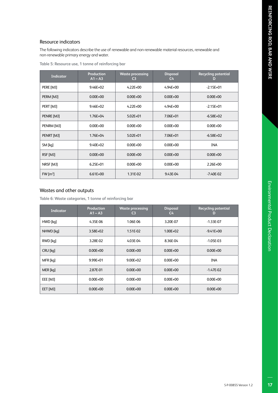### Resource indicators

The following indicators describe the use of renewable and non-renewable material resources, renewable and non-renewable primary energy and water.

|  |  |  |  |  |  |  | Table 5: Resource use, 1 tonne of reinforcing bar |  |
|--|--|--|--|--|--|--|---------------------------------------------------|--|
|--|--|--|--|--|--|--|---------------------------------------------------|--|

| <b>Indicator</b>      | <b>Production</b><br>$A1 - A3$ | <b>Waste processing</b><br>C <sub>3</sub> | <b>Disposal</b><br>$C_{\rm 4}$ | <b>Recycling potential</b><br>D |
|-----------------------|--------------------------------|-------------------------------------------|--------------------------------|---------------------------------|
| PERE [MJ]             | $9.46E + 02$                   | $4.22E + 00$                              | $4.94E + 00$                   | $-2.15E+01$                     |
| PERM [MJ]             | $0.00E + 00$                   | $0.00E + 00$                              | $0.00E + 00$                   | $0.00E + 00$                    |
| PERT [MJ]             | 9.46E+02                       | $4.22E + 00$                              | $4.94E + 00$                   | $-2.15E+01$                     |
| PENRE [MJ]            | $1.76E + 04$                   | $5.02E + 01$                              | 7.06E+01                       | $-6.58E+02$                     |
| PENRM [MJ]            | $0.00E + 00$                   | $0.00E + 00$                              | $0.00E + 00$                   | $0.00E + 00$                    |
| PENRT [MJ]            | 1.76E+04                       | $5.02E + 01$                              | 7.06E+01                       | $-6.58E+02$                     |
| SM [kq]               | $9.40E + 02$                   | $0.00E + 00$                              | $0.00E + 00$                   | <b>INA</b>                      |
| RSF [MJ]              | $0.00E + 00$                   | $0.00E + 00$                              | $0.00E + 00$                   | $0.00E + 00$                    |
| NRSF [MJ]             | $6.25E + 01$                   | $0.00E + 00$                              | $0.00E + 00$                   | $2.26E + 00$                    |
| $FW \,[\mathrm{m}^3]$ | $6.61E + 00$                   | 1.31E-02                                  | 9.43E-04                       | $-7.40E-02$                     |

### Wastes and other outputs

**Table 6: Waste categories, 1 tonne of reinforcing bar**

| <b>Indicator</b> | Production<br>$A1 - A3$ | <b>Waste processing</b><br>C <sub>3</sub> | <b>Disposal</b><br>C <sub>4</sub> | <b>Recycling potential</b><br>D |
|------------------|-------------------------|-------------------------------------------|-----------------------------------|---------------------------------|
| HWD [kq]         | 4.35E-06                | 1.06E-06                                  | 3.20E-07                          | $-1.33E-07$                     |
| NHWD [kq]        | $3.58E + 02$            | 1.51E-02                                  | $1.00E + 02$                      | $-9.41E+00$                     |
| RWD [kq]         | 3.28E-02                | 4.03E-04                                  | 8.36E-04                          | $-1.05E-03$                     |
| CRU [kq]         | $0.00E + 00$            | $0.00E + 00$                              | $0.00E + 00$                      | $0.00E + 00$                    |
| MFR [kq]         | 9.99E+01                | $9.00E + 02$                              | $0.00E + 00$                      | <b>INA</b>                      |
| MER [kq]         | 2.87E-01                | $0.00E + 00$                              | $0.00E + 00$                      | $-1.47E-02$                     |
| EEE [MJ]         | $0.00E + 00$            | $0.00E + 00$                              | $0.00E + 00$                      | $0.00E + 00$                    |
| EET [MJ]         | $0.00E + 00$            | $0.00E + 00$                              | $0.00E + 00$                      | $0.00E + 00$                    |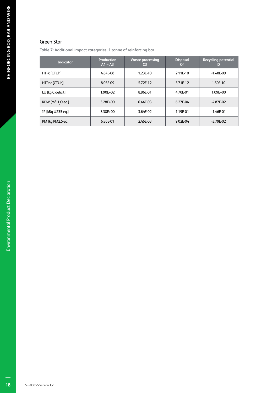### Green Star

**Table 7: Additional impact categories, 1 tonne of reinforcing bar**

| <b>Indicator</b>              | Production<br>$A1 - A3$ | <b>Waste processing</b><br>C <sub>3</sub> | <b>Disposal</b><br>$C_{\mathbf{4}}$ | <b>Recycling potential</b><br>D |
|-------------------------------|-------------------------|-------------------------------------------|-------------------------------------|---------------------------------|
| HTPc [CTUh]                   | 4.64E-08                | 1.23E-10                                  | 2.11E-10                            | $-1.48E-09$                     |
| HTPnc [CTUh]                  | 8.05E-09                | 5.72E-12                                  | 5.71E-12                            | 1.50E-10                        |
| LU [kg C deficit]             | $1.90E + 02$            | 8.86E-01                                  | 4.70E-01                            | $1.09E + 00$                    |
| RDW $[m^3 H, O \text{-} eq.]$ | $3.28E + 00$            | 6.44E-03                                  | 6.27E-04                            | $-4.87E - 02$                   |
| IR [kBq U235-eq.]             | 3.38E+00                | 3.64E-02                                  | 1.19E-01                            | $-1.46E - 01$                   |
| PM [kg PM2.5-eg.]             | 6.86E-01                | 2.46E-03                                  | 9.02E-04                            | $-3.79E - 02$                   |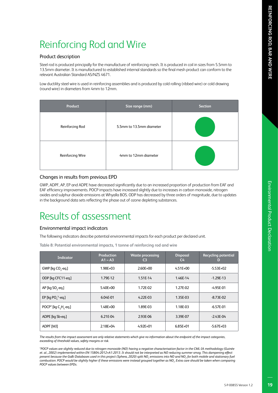# Reinforcing Rod and Wire

### Product description

Steel rod is produced principally for the manufacture of reinforcing mesh. It is produced in coil in sizes from 5.5mm to 13.5mm diameter. It is manufactured to established internal standards so the final mesh product can conform to the relevant Australian Standard AS/NZS 4671.

Low ductility steel wire is used in reinforcing assemblies and is produced by cold rolling (ribbed wire) or cold drawing (round wire) in diameters from 4mm to 12mm.

| Product          | Size range (mm)          | <b>Section</b> |
|------------------|--------------------------|----------------|
| Reinforcing Rod  | 5.5mm to 13.5mm diameter |                |
| Reinforcing Wire | 4mm to 12mm diameter     |                |

### Changes in results from previous EPD

GWP, ADPF, AP, EP and ADPE have decreased significantly due to an increased proportion of production from EAF and EAF efficiency improvements. POCP impacts have increased slightly due to increases in carbon monoxide, nitrogen oxides and sulphur dioxide emissions at Whyalla BOS. ODP has decreased by three orders of magnitude, due to updates in the background data sets reflecting the phase out of ozone depleting substances.

# Results of assessment

### Environmental impact indicators

The following indicators describe potential environmental impacts for each product per declared unit.

**Table 8: Potential environmental impacts, 1 tonne of reinforcing rod and wire**

| <b>Indicator</b>                  | Production<br>$A1 - A3$ | <b>Waste processing</b><br>C <sub>3</sub> | <b>Disposal</b><br>C <sub>4</sub> | <b>Recycling potential</b><br>D |
|-----------------------------------|-------------------------|-------------------------------------------|-----------------------------------|---------------------------------|
| GWP [kg CO <sub>2</sub> -eq.]     | 1.98E+03                | $2.60E + 00$                              | $4.51E + 00$                      | $-5.53E+02$                     |
| ODP [kg CFC11-eg.]                | 1.79E-12                | 1.51E-14                                  | 1.46E-14                          | $-1.29E-13$                     |
| AP [kg SO <sub>2</sub> -eq.]      | 5.40E+00                | 1.72E-02                                  | 1.27E-02                          | -4.95E-01                       |
| EP [kg PO $^3$ -eq.]              | 6.04E-01                | $4.22E-03$                                | 1.35E-03                          | $-8.73E - 02$                   |
| POCP <sup>*</sup> [kg C, H, -eq.] | 1.48E+00                | 1.89E-03                                  | 1.18E-03                          | $-6.57E-01$                     |
| ADPE [kg Sb-eg.]                  | 6.21E-04                | 2.93E-06                                  | 3.39E-07                          | $-2.43E - 04$                   |
| ADPF [MJ]                         | $2.18E + 04$            | $4.92E + 01$                              | 6.85E+01                          | $-5.67E + 03$                   |

*The results from the impact assessment are only relative statements which give no information about the endpoint of the impact categories, exceeding of threshold values, safety margins or risk.*

*\*POCP values are slightly reduced due to nitrogen monoxide (NO) having a negative characterisation factor in the CML-IA methodology (Guinée et. al., 2002) implemented within EN 15804:2012+A1:2013. It should not be interpreted as NO reducing summer smog. This dampening effect present because the GaBi Databases used in this project (Sphera, 2020) split NOx emissions into NO and NO2 for both mobile and stationary fuel combustion. POCP would be slightly higher if these emissions were instead grouped together as NOx. Extra care should be taken when comparing POCP values between EPDs.*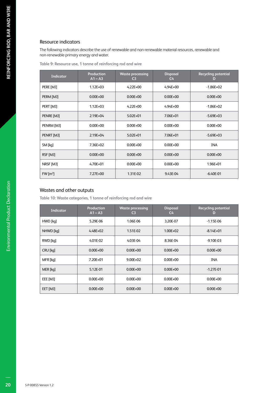### Resource indicators

The following indicators describe the use of renewable and non-renewable material resources, renewable and non-renewable primary energy and water.

**Table 9: Resource use, 1 tonne of reinforcing rod and wire**

| <b>Indicator</b>      | <b>Production</b><br>$A1 - A3$ | <b>Waste processing</b><br>C <sub>3</sub> | <b>Disposal</b><br>$C_{\mathbf{4}}$ | <b>Recycling potential</b><br>D |
|-----------------------|--------------------------------|-------------------------------------------|-------------------------------------|---------------------------------|
| PERE [MJ]             | $1.12E + 03$                   | $4.22E + 00$                              | $4.94E + 00$                        | $-1.86E + 02$                   |
| PERM [MJ]             | $0.00E + 00$                   | $0.00E + 00$                              | $0.00E + 00$                        | $0.00E + 00$                    |
| PERT [MJ]             | $1.12E + 03$                   | $4.22E + 00$                              | $4.94E + 00$                        | $-1.86E + 02$                   |
| PENRE [MJ]            | $2.19E + 04$                   | $5.02E + 01$                              | 7.06E+01                            | $-5.69E+03$                     |
| PENRM [MJ]            | $0.00E + 00$                   | $0.00E + 00$                              | $0.00E + 00$                        | $0.00E + 00$                    |
| PENRT [MJ]            | $2.19E + 04$                   | $5.02E + 01$                              | 7.06E+01                            | $-5.69E + 03$                   |
| SM [kq]               | $7.36E + 02$                   | $0.00E + 00$                              | $0.00E + 00$                        | <b>INA</b>                      |
| RSF [MJ]              | $0.00E + 00$                   | $0.00E + 00$                              | $0.00E + 00$                        | $0.00E + 00$                    |
| NRSF [MJ]             | $4.70E + 01$                   | $0.00E + 00$                              | $0.00E + 00$                        | 1.96E+01                        |
| $FW \,[\mathrm{m}^3]$ | 7.27E+00                       | 1.31E-02                                  | 9.43E-04                            | $-6.40E - 01$                   |

### Wastes and other outputs

**Table 10: Waste categories, 1 tonne of reinforcing rod and wire**

| <b>Indicator</b> | <b>Production</b><br>$A1 - A3$ | <b>Waste processing</b><br>C3 | <b>Disposal</b><br>C <sub>4</sub> | <b>Recycling potential</b><br>D |
|------------------|--------------------------------|-------------------------------|-----------------------------------|---------------------------------|
| HWD [kq]         | 5.29E-06                       | 1.06E-06                      | 3.20E-07                          | $-1.15E-06$                     |
| NHWD [kq]        | $4.48E + 02$                   | 1.51E-02                      | $1.00E + 02$                      | $-8.14E+01$                     |
| RWD [kq]         | 4.01E-02                       | 4.03E-04                      | 8.36E-04                          | $-9.10E - 03$                   |
| CRU [kq]         | $0.00E + 00$                   | $0.00E + 00$                  | $0.00E + 00$                      | $0.00E + 00$                    |
| MFR [kq]         | 7.20E+01                       | $9.00E + 02$                  | $0.00E + 00$                      | <b>INA</b>                      |
| MER [kq]         | 5.12E-01                       | $0.00E + 00$                  | $0.00E + 00$                      | $-1.27E - 01$                   |
| EEE [MJ]         | $0.00E + 00$                   | $0.00E + 00$                  | $0.00E + 00$                      | $0.00E + 00$                    |
| EET [MJ]         | $0.00E + 00$                   | $0.00E + 00$                  | $0.00E + 00$                      | $0.00E + 00$                    |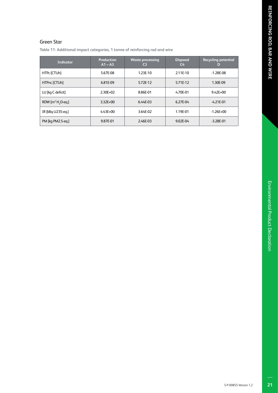### Green Star

**Table 11: Additional impact categories, 1 tonne of reinforcing rod and wire**

| Indicator                     | Production<br>$A1 - A3$ | <b>Waste processing</b><br>C3 | <b>Disposal</b><br>C4 | <b>Recycling potential</b><br>D |
|-------------------------------|-------------------------|-------------------------------|-----------------------|---------------------------------|
| HTPc [CTUh]                   | 5.67E-08                | 1.23E-10                      | 2.11E-10              | $-1.28E - 08$                   |
| HTPnc [CTUh]                  | 6.81E-09                | 5.72E-12                      | 5.71E-12              | 1.30E-09                        |
| LU [kg C deficit]             | $2.30E + 02$            | 8.86E-01                      | 4.70E-01              | $9.42E + 00$                    |
| RDW $[m^3 H, O \text{-} eq.]$ | 3.32E+00                | 6.44E-03                      | 6.27E-04              | $-4.21E - 01$                   |
| IR [kBq U235-eq.]             | $4.43E + 00$            | 3.64E-02                      | 1.19E-01              | $-1.26E + 00$                   |
| PM [kg PM2.5-eg.]             | 9.87E-01                | 2.46E-03                      | 9.02E-04              | $-3.28E - 01$                   |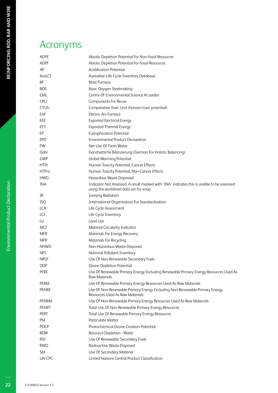# Acronyms

| ADPE         | Abiotic Depletion Potential For Non-Fossil Resources                                                                                  |
|--------------|---------------------------------------------------------------------------------------------------------------------------------------|
| ADPF         | Abiotic Depletion Potential For Fossil Resources                                                                                      |
| АP           | <b>Acidification Potential</b>                                                                                                        |
| AusLCI       | Australian Life Cycle Inventory Database                                                                                              |
| ΒF           | <b>Blast Furnace</b>                                                                                                                  |
| BOS          | <b>Basic Oxygen Steelmaking</b>                                                                                                       |
| CML          | Centre Of Environmental Science At Leiden                                                                                             |
| <b>CRU</b>   | Components For Reuse                                                                                                                  |
| CTUh         | Comparative Toxic Unit (human toxic potential)                                                                                        |
| EAF          | <b>Electric Arc Furnace</b>                                                                                                           |
| EEE          | <b>Exported Electrical Energy</b>                                                                                                     |
| EET          | <b>Exported Thermal Energy</b>                                                                                                        |
| ЕP           | <b>Eutrophication Potential</b>                                                                                                       |
| EPD          | <b>Environmental Product Declaration</b>                                                                                              |
| <b>FW</b>    | Net Use Of Fresh Water                                                                                                                |
| Gabi         | Ganzheitliche Bilanzierung (German For Holistic Balancing)                                                                            |
| GWP          | <b>Global Warming Potential</b>                                                                                                       |
| <b>HTPc</b>  | Human Toxicity Potential, Cancer Effects                                                                                              |
| <b>HTPnc</b> | Human Toxicity Potential, Non-Cancer Effects                                                                                          |
| HWD          | Hazardous Waste Disposed                                                                                                              |
| INA          | Indicator Not Assessed. A result marked with 'INA' indicates this is unable to be assessed<br>using the worldsteel data set for scrap |
| IR           | <b>Ionising Radiation</b>                                                                                                             |
| ISO          | <b>International Organization For Standardization</b>                                                                                 |
| LCA          | Life Cycle Assessment                                                                                                                 |
| LCI          | Life Cycle Inventory                                                                                                                  |
| LU           | Land Use                                                                                                                              |
| MCI          | Material Circularity Indicator                                                                                                        |
| MER          | Materials For Energy Recovery                                                                                                         |
| MFR          | <b>Materials For Recycling</b>                                                                                                        |
| NHWD         | Non-Hazardous Waste Disposed                                                                                                          |
| NPI          | National Pollutant Inventory                                                                                                          |
| NRSF         | Use Of Non-Renewable Secondary Fuels                                                                                                  |
| ODP          | Ozone Depletion Potential                                                                                                             |
| PERE         | Use Of Renewable Primary Energy Excluding Renewable Primary Energy Resources Used As<br><b>Raw Materials</b>                          |
| PERM         | Use Of Renewable Primary Energy Resources Used As Raw Materials                                                                       |
| PENRE        | Use Of Non-Renewable Primary Energy Excluding Non-Renewable Primary Energy<br>Resources Used As Raw Materials                         |
| PENRM        | Use Of Non-Renewable Primary Energy Resources Used As Raw Materials                                                                   |
| PENRT        | Total Use Of Non-Renewable Primary Energy Resources                                                                                   |
| PERT         | Total Use Of Renewable Primary Energy Resources                                                                                       |
| PM           | <b>Particulate Matter</b>                                                                                                             |
| POCP         | Photochemical Ozone Creation Potential                                                                                                |
| RDW          | Resource Depletion - Water                                                                                                            |
| RSF          | Use Of Renewable Secondary Fuels                                                                                                      |
| rwd          | Radioactive Waste Disposed                                                                                                            |
| SM           | Use Of Secondary Material                                                                                                             |
| UN CPC       | United Nations Central Product Classification                                                                                         |

**Environmental Product Declaration**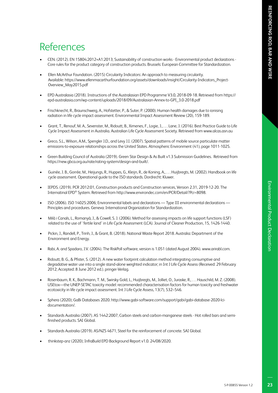# References

- CEN. (2012). EN 15804:2012+A1:2013; Sustainability of construction works Environmental product declarations Core rules for the product category of construction products. Brussels: European Committee for Standardization.
- Ellen McArthur Foundation. (2015) Circularity Indicators: An approach to measuring circularity. Available: https://www.ellenmacarthurfoundation.org/assets/downloads/insight/Circularity-Indicators\_Project-Overview\_May2015.pdf
- EPD Australasia (2018). Instructions of the Australasian EPD Programme V3.0, 2018-09-18. Retrieved from https:// epd-australasia.com/wp-content/uploads/2018/09/Australasian-Annex-to-GPI\_3.0-2018.pdf
- Frischknecht, R., Braunschweig, A., Hofstetter, P., & Suter, P. (2000). Human health damages due to ionising radiation in life cycle impact assessment. Environmental Impact Assessment Review (20), 159-189.
- Grant, T., Renouf, M. A., Sevenster, M., Ridoutt, B., Ximenes, F., Logie, J., . . . Lane, J. (2016). Best Practice Guide to Life Cycle Impact Assessment in Australia. Australian Life Cycle Assessment Society. Retrieved from www.alcas.asn.au
- Greco, S.L., Wilson, A.M., Spengler J.D., and Levy J.I. (2007). Spatial patterns of mobile source particulate matter emissions-to-exposure relationships across the United States. Atmospheric Environment (41), page 1011-1025.
- Green Building Council of Australia (2019). Green Star Design & As Built v1.3 Submission Guidelines. Retrieved from https://new.gbca.org.au/rate/rating-system/design-and-built/.
- Guinée, J. B., Gorrée, M., Heijungs, R., Huppes, G., Kleijn, R., de Koning, A., . . . Huijbregts, M. (2002). Handbook on life cycle assessment. Operational guide to the ISO standards. Dordrecht: Kluwer.
- IEPDS. (2019). PCR 2012:01, Construction products and Construction services, Version 2.31, 2019-12-20. The Internatinal EPD® System. Retrieved from http://www.environdec.com/en/PCR/Detail/?Pcr=8098.
- ISO (2006). ISO 14025:2006; Environmental labels and declarations Type III environmental declarations Principles and procedures. Geneva: International Organization for Standardization.
- Milà i Canals, L., Romanyà, J., & Cowell, S. J. (2006). Method for assessing impacts on life support functions (LSF) related to the use of 'fertile land' in Life Cycle Assessment (LCA). Journal of Cleaner Production, 15, 1426-1440.
- Pickin, J., Randell, P., Trinh, J., & Grant, B. (2018). National Waste Report 2018. Australia: Department of the Environment and Energy.
- Rabi, A. and Spadaro, J.V. (2004). The RiskPoll software, version is 1.051 (dated August 2004). www.arirabl.com.
- Ridoutt, B. G., & Pfister, S. (2012). A new water footprint calculation method integrating consumptive and degradative water use into a single stand-alone weighted indicator; in Int J Life Cycle Assess (Received: 29 February 2012; Accepted: 8 June 2012 ed.). pringer-Verlag.
- Rosenbaum, R. K., Bachmann, T. M., Swirsky Gold, L., Huijbregts, M., Jolliet, O., Juraske, R., . . . Hauschild, M. Z. (2008). USEtox—the UNEP-SETAC toxicity model: recommended characterisation factors for human toxicity and freshwater ecotoxicity in life cycle impact assessment. Int J Life Cycle Assess, 13(7), 532–546.
- Sphera (2020); GaBi Databases 2020. http://www.gabi-software.com/support/gabi/gabi-database-2020-lcidocumentation/.
- Standards Australia (2007). AS 1442:2007, Carbon steels and carbon-manganese steels Hot rolled bars and semifinished products. SAI Global.
- Standards Australia (2019). AS/NZS 4671, Steel for the reinforcement of concrete. SAI Global.
- thinkstep-anz (2020); InfraBuild EPD Background Report v1.0. 24/08/2020.